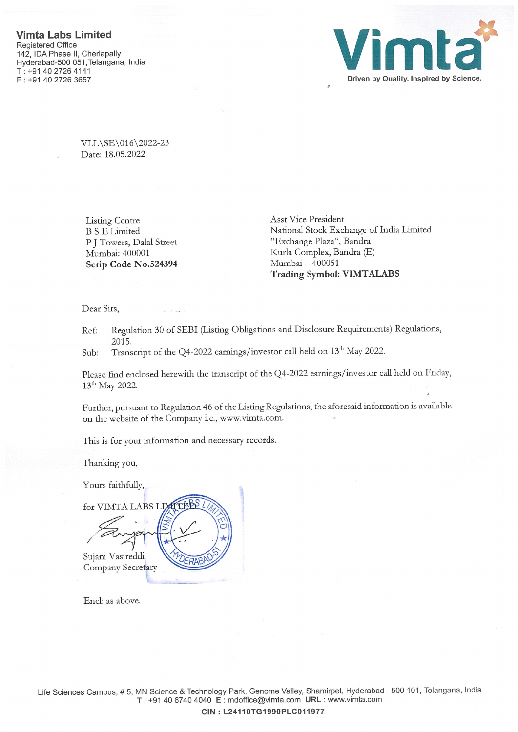

VLL\SE\016\2022-23 Date: 18.05.2022

Listing Centre B <sup>S</sup> E Limited P J Towers, Dalal Street Mumbai: 400001 Scrip Code No.524394

Asst Vice President National Stock Exchange of India Limited "Exchange Plaza", Bandra Kurla Complex, Bandra (E) Mumbai — 400051 Trading Symbol: VIMTALABS

Dear Sirs,

Ref: Regulation 30 of SEBI (Listing Obligations and Disclosure Requirements) Regulations, 2015.

Sub: Transcript of the Q4-2022 earnings/investor call held on 13<sup>th</sup> May 2022.

Please find enclosed herewith the transcript of the Q4-2022 earnings/investor call held on Friday, 13th May 2022.

Further, pursuant to Regulation 46 of the Listing Regulations, the aforesaid information is available on the website of the Company i.e., www.vimta.com.

This is for your information and necessary records.

Thanking you,

Yours faithfully,

for VIMTA LABS L / Sujani Vasireddi **RAE** Company Secretary

End: as above.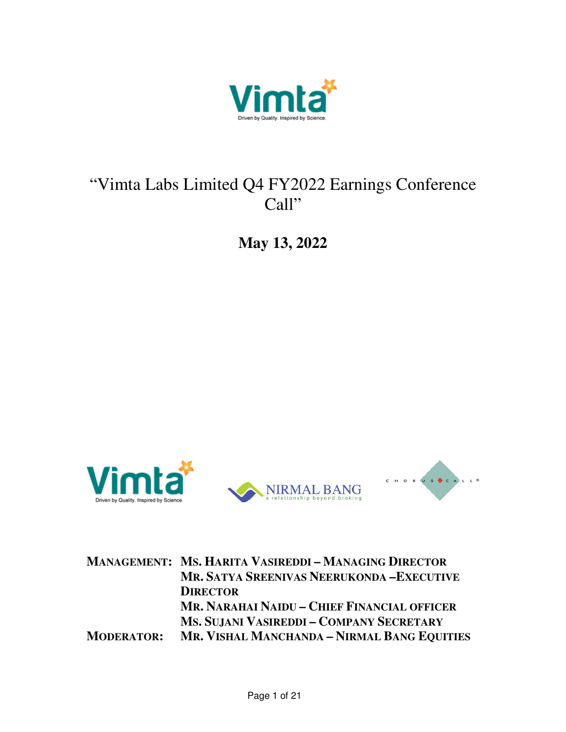

## "Vimta Labs Limited Q4 FY2022 Earnings Conference Call"

**May 13, 2022** 



|                   | <b>MANAGEMENT: MS. HARITA VASIREDDI-MANAGING DIRECTOR</b> |
|-------------------|-----------------------------------------------------------|
|                   | MR. SATYA SREENIVAS NEERUKONDA - EXECUTIVE                |
|                   | <b>DIRECTOR</b>                                           |
|                   | MR. NARAHAI NAIDU - CHIEF FINANCIAL OFFICER               |
|                   | MS. SUJANI VASIREDDI – COMPANY SECRETARY                  |
| <b>MODERATOR:</b> | MR. VISHAL MANCHANDA - NIRMAL BANG EQUITIES               |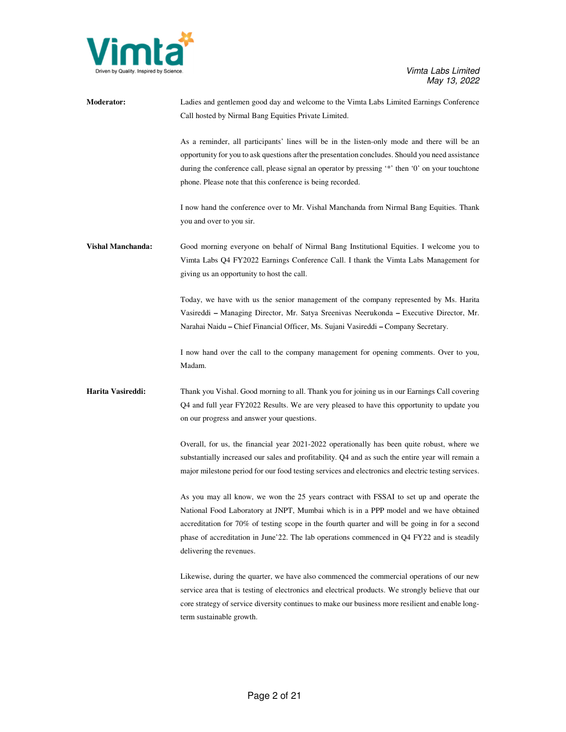

| <b>Moderator:</b>        | Ladies and gentlemen good day and welcome to the Vimta Labs Limited Earnings Conference<br>Call hosted by Nirmal Bang Equities Private Limited.                                                                                                                                                                                                                                                               |
|--------------------------|---------------------------------------------------------------------------------------------------------------------------------------------------------------------------------------------------------------------------------------------------------------------------------------------------------------------------------------------------------------------------------------------------------------|
|                          | As a reminder, all participants' lines will be in the listen-only mode and there will be an<br>opportunity for you to ask questions after the presentation concludes. Should you need assistance<br>during the conference call, please signal an operator by pressing '*' then '0' on your touchtone<br>phone. Please note that this conference is being recorded.                                            |
|                          | I now hand the conference over to Mr. Vishal Manchanda from Nirmal Bang Equities. Thank<br>you and over to you sir.                                                                                                                                                                                                                                                                                           |
| <b>Vishal Manchanda:</b> | Good morning everyone on behalf of Nirmal Bang Institutional Equities. I welcome you to<br>Vimta Labs Q4 FY2022 Earnings Conference Call. I thank the Vimta Labs Management for<br>giving us an opportunity to host the call.                                                                                                                                                                                 |
|                          | Today, we have with us the senior management of the company represented by Ms. Harita<br>Vasireddi - Managing Director, Mr. Satya Sreenivas Neerukonda - Executive Director, Mr.<br>Narahai Naidu – Chief Financial Officer, Ms. Sujani Vasireddi – Company Secretary.                                                                                                                                        |
|                          | I now hand over the call to the company management for opening comments. Over to you,<br>Madam.                                                                                                                                                                                                                                                                                                               |
| Harita Vasireddi:        | Thank you Vishal. Good morning to all. Thank you for joining us in our Earnings Call covering<br>Q4 and full year FY2022 Results. We are very pleased to have this opportunity to update you<br>on our progress and answer your questions.                                                                                                                                                                    |
|                          | Overall, for us, the financial year 2021-2022 operationally has been quite robust, where we<br>substantially increased our sales and profitability. Q4 and as such the entire year will remain a<br>major milestone period for our food testing services and electronics and electric testing services.                                                                                                       |
|                          | As you may all know, we won the 25 years contract with FSSAI to set up and operate the<br>National Food Laboratory at JNPT, Mumbai which is in a PPP model and we have obtained<br>accreditation for 70% of testing scope in the fourth quarter and will be going in for a second<br>phase of accreditation in June'22. The lab operations commenced in $Q4$ FY22 and is steadily<br>delivering the revenues. |
|                          | Likewise, during the quarter, we have also commenced the commercial operations of our new<br>service area that is testing of electronics and electrical products. We strongly believe that our<br>core strategy of service diversity continues to make our business more resilient and enable long-<br>term sustainable growth.                                                                               |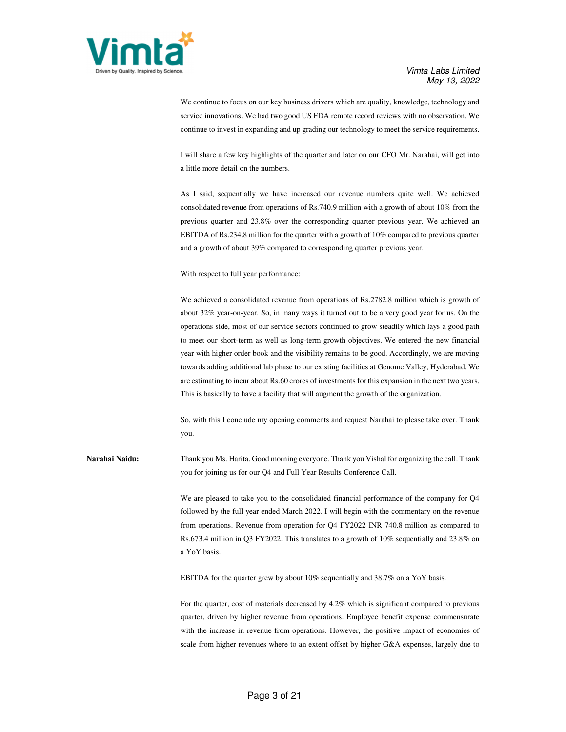

We continue to focus on our key business drivers which are quality, knowledge, technology and service innovations. We had two good US FDA remote record reviews with no observation. We continue to invest in expanding and up grading our technology to meet the service requirements.

I will share a few key highlights of the quarter and later on our CFO Mr. Narahai, will get into a little more detail on the numbers.

As I said, sequentially we have increased our revenue numbers quite well. We achieved consolidated revenue from operations of Rs.740.9 million with a growth of about 10% from the previous quarter and 23.8% over the corresponding quarter previous year. We achieved an EBITDA of Rs.234.8 million for the quarter with a growth of 10% compared to previous quarter and a growth of about 39% compared to corresponding quarter previous year.

With respect to full year performance:

We achieved a consolidated revenue from operations of Rs.2782.8 million which is growth of about 32% year-on-year. So, in many ways it turned out to be a very good year for us. On the operations side, most of our service sectors continued to grow steadily which lays a good path to meet our short-term as well as long-term growth objectives. We entered the new financial year with higher order book and the visibility remains to be good. Accordingly, we are moving towards adding additional lab phase to our existing facilities at Genome Valley, Hyderabad. We are estimating to incur about Rs.60 crores of investments for this expansion in the next two years. This is basically to have a facility that will augment the growth of the organization.

So, with this I conclude my opening comments and request Narahai to please take over. Thank you.

**Narahai Naidu:** Thank you Ms. Harita. Good morning everyone. Thank you Vishal for organizing the call. Thank you for joining us for our Q4 and Full Year Results Conference Call.

> We are pleased to take you to the consolidated financial performance of the company for Q4 followed by the full year ended March 2022. I will begin with the commentary on the revenue from operations. Revenue from operation for Q4 FY2022 INR 740.8 million as compared to Rs.673.4 million in Q3 FY2022. This translates to a growth of 10% sequentially and 23.8% on a YoY basis.

EBITDA for the quarter grew by about 10% sequentially and 38.7% on a YoY basis.

For the quarter, cost of materials decreased by 4.2% which is significant compared to previous quarter, driven by higher revenue from operations. Employee benefit expense commensurate with the increase in revenue from operations. However, the positive impact of economies of scale from higher revenues where to an extent offset by higher G&A expenses, largely due to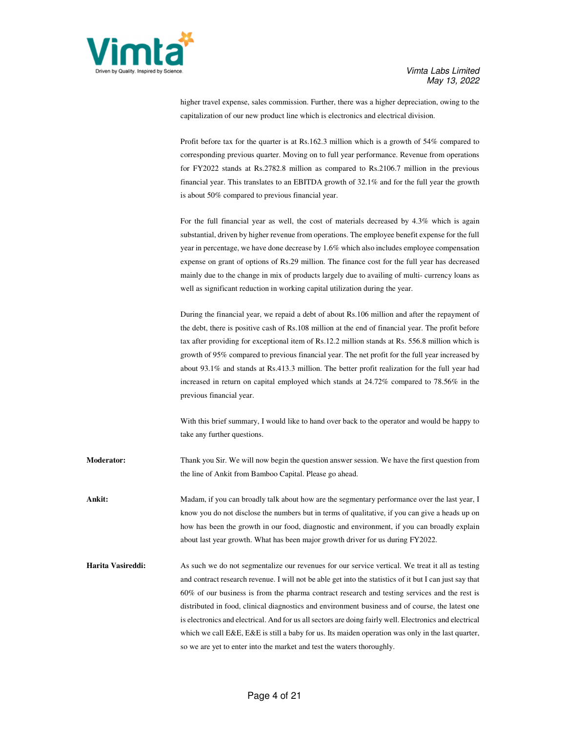

higher travel expense, sales commission. Further, there was a higher depreciation, owing to the capitalization of our new product line which is electronics and electrical division.

Profit before tax for the quarter is at Rs.162.3 million which is a growth of 54% compared to corresponding previous quarter. Moving on to full year performance. Revenue from operations for FY2022 stands at Rs.2782.8 million as compared to Rs.2106.7 million in the previous financial year. This translates to an EBITDA growth of 32.1% and for the full year the growth is about 50% compared to previous financial year.

For the full financial year as well, the cost of materials decreased by 4.3% which is again substantial, driven by higher revenue from operations. The employee benefit expense for the full year in percentage, we have done decrease by 1.6% which also includes employee compensation expense on grant of options of Rs.29 million. The finance cost for the full year has decreased mainly due to the change in mix of products largely due to availing of multi- currency loans as well as significant reduction in working capital utilization during the year.

During the financial year, we repaid a debt of about Rs.106 million and after the repayment of the debt, there is positive cash of Rs.108 million at the end of financial year. The profit before tax after providing for exceptional item of Rs.12.2 million stands at Rs. 556.8 million which is growth of 95% compared to previous financial year. The net profit for the full year increased by about 93.1% and stands at Rs.413.3 million. The better profit realization for the full year had increased in return on capital employed which stands at 24.72% compared to 78.56% in the previous financial year.

With this brief summary, I would like to hand over back to the operator and would be happy to take any further questions.

**Moderator:** Thank you Sir. We will now begin the question answer session. We have the first question from the line of Ankit from Bamboo Capital. Please go ahead.

**Ankit:** Madam, if you can broadly talk about how are the segmentary performance over the last year, I know you do not disclose the numbers but in terms of qualitative, if you can give a heads up on how has been the growth in our food, diagnostic and environment, if you can broadly explain about last year growth. What has been major growth driver for us during FY2022.

**Harita Vasireddi:** As such we do not segmentalize our revenues for our service vertical. We treat it all as testing and contract research revenue. I will not be able get into the statistics of it but I can just say that 60% of our business is from the pharma contract research and testing services and the rest is distributed in food, clinical diagnostics and environment business and of course, the latest one is electronics and electrical. And for us all sectors are doing fairly well. Electronics and electrical which we call E&E, E&E is still a baby for us. Its maiden operation was only in the last quarter, so we are yet to enter into the market and test the waters thoroughly.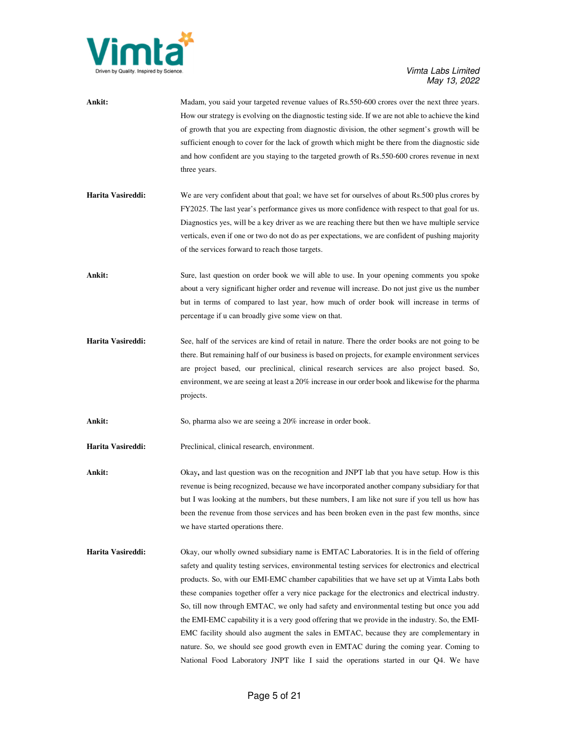

| Ankit:            | Madam, you said your targeted revenue values of Rs.550-600 crores over the next three years.        |
|-------------------|-----------------------------------------------------------------------------------------------------|
|                   | How our strategy is evolving on the diagnostic testing side. If we are not able to achieve the kind |
|                   | of growth that you are expecting from diagnostic division, the other segment's growth will be       |
|                   | sufficient enough to cover for the lack of growth which might be there from the diagnostic side     |
|                   | and how confident are you staying to the targeted growth of Rs.550-600 crores revenue in next       |
|                   | three years.                                                                                        |
|                   |                                                                                                     |
| Harita Vasireddi: | We are very confident about that goal; we have set for ourselves of about Rs.500 plus crores by     |
|                   | FY2025. The last year's performance gives us more confidence with respect to that goal for us.      |
|                   | Diagnostics yes, will be a key driver as we are reaching there but then we have multiple service    |
|                   | verticals, even if one or two do not do as per expectations, we are confident of pushing majority   |
|                   | of the services forward to reach those targets.                                                     |
|                   |                                                                                                     |

Ankit: Sure, last question on order book we will able to use. In your opening comments you spoke about a very significant higher order and revenue will increase. Do not just give us the number but in terms of compared to last year, how much of order book will increase in terms of percentage if u can broadly give some view on that.

**Harita Vasireddi:** See, half of the services are kind of retail in nature. There the order books are not going to be there. But remaining half of our business is based on projects, for example environment services are project based, our preclinical, clinical research services are also project based. So, environment, we are seeing at least a 20% increase in our order book and likewise for the pharma projects.

Ankit: So, pharma also we are seeing a 20% increase in order book.

**Harita Vasireddi:** Preclinical, clinical research, environment.

**Ankit:** Okay, and last question was on the recognition and JNPT lab that you have setup. How is this revenue is being recognized, because we have incorporated another company subsidiary for that but I was looking at the numbers, but these numbers, I am like not sure if you tell us how has been the revenue from those services and has been broken even in the past few months, since we have started operations there.

**Harita Vasireddi:** Okay, our wholly owned subsidiary name is EMTAC Laboratories. It is in the field of offering safety and quality testing services, environmental testing services for electronics and electrical products. So, with our EMI-EMC chamber capabilities that we have set up at Vimta Labs both these companies together offer a very nice package for the electronics and electrical industry. So, till now through EMTAC, we only had safety and environmental testing but once you add the EMI-EMC capability it is a very good offering that we provide in the industry. So, the EMI-EMC facility should also augment the sales in EMTAC, because they are complementary in nature. So, we should see good growth even in EMTAC during the coming year. Coming to National Food Laboratory JNPT like I said the operations started in our Q4. We have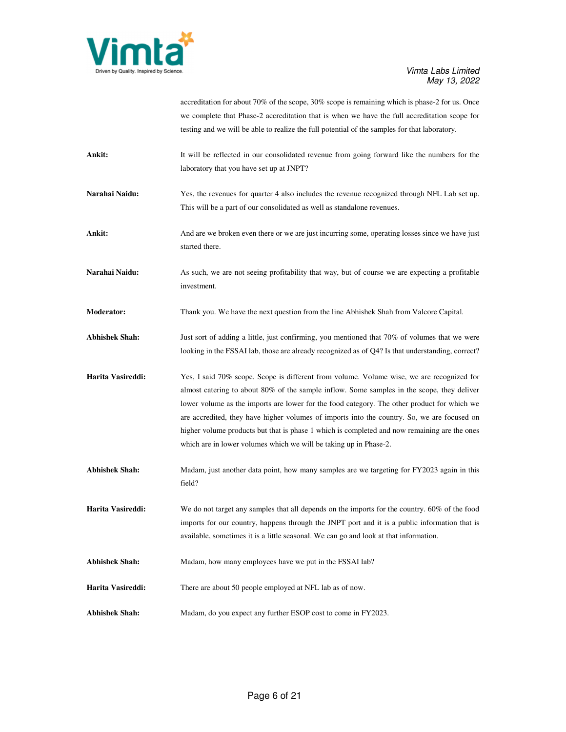

|                       | accreditation for about 70% of the scope, 30% scope is remaining which is phase-2 for us. Once       |
|-----------------------|------------------------------------------------------------------------------------------------------|
|                       | we complete that Phase-2 accreditation that is when we have the full accreditation scope for         |
|                       | testing and we will be able to realize the full potential of the samples for that laboratory.        |
| Ankit:                | It will be reflected in our consolidated revenue from going forward like the numbers for the         |
|                       | laboratory that you have set up at JNPT?                                                             |
| Narahai Naidu:        | Yes, the revenues for quarter 4 also includes the revenue recognized through NFL Lab set up.         |
|                       | This will be a part of our consolidated as well as standalone revenues.                              |
| Ankit:                | And are we broken even there or we are just incurring some, operating losses since we have just      |
|                       | started there.                                                                                       |
| Narahai Naidu:        | As such, we are not seeing profitability that way, but of course we are expecting a profitable       |
|                       | investment.                                                                                          |
| Moderator:            | Thank you. We have the next question from the line Abhishek Shah from Valcore Capital.               |
| <b>Abhishek Shah:</b> | Just sort of adding a little, just confirming, you mentioned that 70% of volumes that we were        |
|                       | looking in the FSSAI lab, those are already recognized as of Q4? Is that understanding, correct?     |
| Harita Vasireddi:     | Yes, I said 70% scope. Scope is different from volume. Volume wise, we are recognized for            |
|                       | almost catering to about 80% of the sample inflow. Some samples in the scope, they deliver           |
|                       | lower volume as the imports are lower for the food category. The other product for which we          |
|                       | are accredited, they have higher volumes of imports into the country. So, we are focused on          |
|                       | higher volume products but that is phase 1 which is completed and now remaining are the ones         |
|                       | which are in lower volumes which we will be taking up in Phase-2.                                    |
| <b>Abhishek Shah:</b> | Madam, just another data point, how many samples are we targeting for FY2023 again in this<br>field? |
| Harita Vasireddi:     | We do not target any samples that all depends on the imports for the country. 60% of the food        |
|                       | imports for our country, happens through the JNPT port and it is a public information that is        |
|                       | available, sometimes it is a little seasonal. We can go and look at that information.                |
| <b>Abhishek Shah:</b> | Madam, how many employees have we put in the FSSAI lab?                                              |
| Harita Vasireddi:     | There are about 50 people employed at NFL lab as of now.                                             |
| <b>Abhishek Shah:</b> | Madam, do you expect any further ESOP cost to come in FY2023.                                        |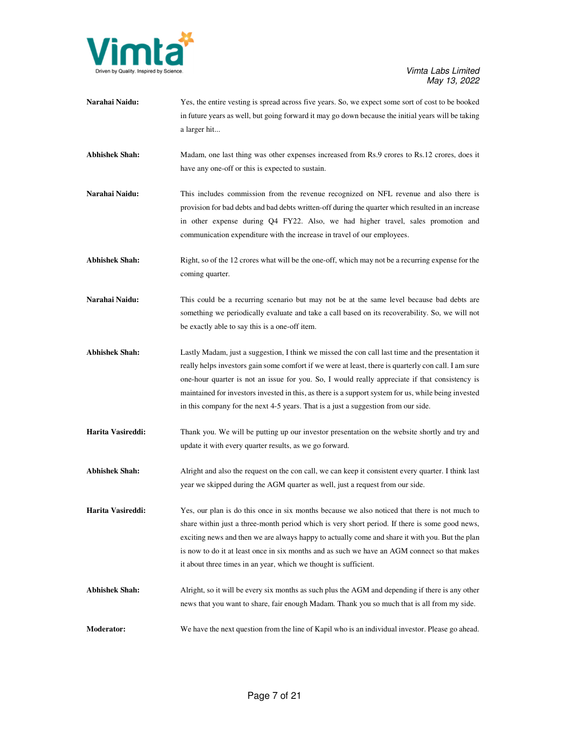

| Narahai Naidu:        | Yes, the entire vesting is spread across five years. So, we expect some sort of cost to be booked<br>in future years as well, but going forward it may go down because the initial years will be taking<br>a larger hit                                                                                                                                                                                                                                                                                   |
|-----------------------|-----------------------------------------------------------------------------------------------------------------------------------------------------------------------------------------------------------------------------------------------------------------------------------------------------------------------------------------------------------------------------------------------------------------------------------------------------------------------------------------------------------|
| <b>Abhishek Shah:</b> | Madam, one last thing was other expenses increased from Rs.9 crores to Rs.12 crores, does it<br>have any one-off or this is expected to sustain.                                                                                                                                                                                                                                                                                                                                                          |
| Narahai Naidu:        | This includes commission from the revenue recognized on NFL revenue and also there is<br>provision for bad debts and bad debts written-off during the quarter which resulted in an increase<br>in other expense during Q4 FY22. Also, we had higher travel, sales promotion and<br>communication expenditure with the increase in travel of our employees.                                                                                                                                                |
| <b>Abhishek Shah:</b> | Right, so of the 12 crores what will be the one-off, which may not be a recurring expense for the<br>coming quarter.                                                                                                                                                                                                                                                                                                                                                                                      |
| Narahai Naidu:        | This could be a recurring scenario but may not be at the same level because bad debts are<br>something we periodically evaluate and take a call based on its recoverability. So, we will not<br>be exactly able to say this is a one-off item.                                                                                                                                                                                                                                                            |
| <b>Abhishek Shah:</b> | Lastly Madam, just a suggestion, I think we missed the con call last time and the presentation it<br>really helps investors gain some comfort if we were at least, there is quarterly con call. I am sure<br>one-hour quarter is not an issue for you. So, I would really appreciate if that consistency is<br>maintained for investors invested in this, as there is a support system for us, while being invested<br>in this company for the next 4-5 years. That is a just a suggestion from our side. |
| Harita Vasireddi:     | Thank you. We will be putting up our investor presentation on the website shortly and try and<br>update it with every quarter results, as we go forward.                                                                                                                                                                                                                                                                                                                                                  |
| <b>Abhishek Shah:</b> | Alright and also the request on the con call, we can keep it consistent every quarter. I think last<br>year we skipped during the AGM quarter as well, just a request from our side.                                                                                                                                                                                                                                                                                                                      |
| Harita Vasireddi:     | Yes, our plan is do this once in six months because we also noticed that there is not much to<br>share within just a three-month period which is very short period. If there is some good news,<br>exciting news and then we are always happy to actually come and share it with you. But the plan<br>is now to do it at least once in six months and as such we have an AGM connect so that makes<br>it about three times in an year, which we thought is sufficient.                                    |
| <b>Abhishek Shah:</b> | Alright, so it will be every six months as such plus the AGM and depending if there is any other<br>news that you want to share, fair enough Madam. Thank you so much that is all from my side.                                                                                                                                                                                                                                                                                                           |
| Moderator:            | We have the next question from the line of Kapil who is an individual investor. Please go ahead.                                                                                                                                                                                                                                                                                                                                                                                                          |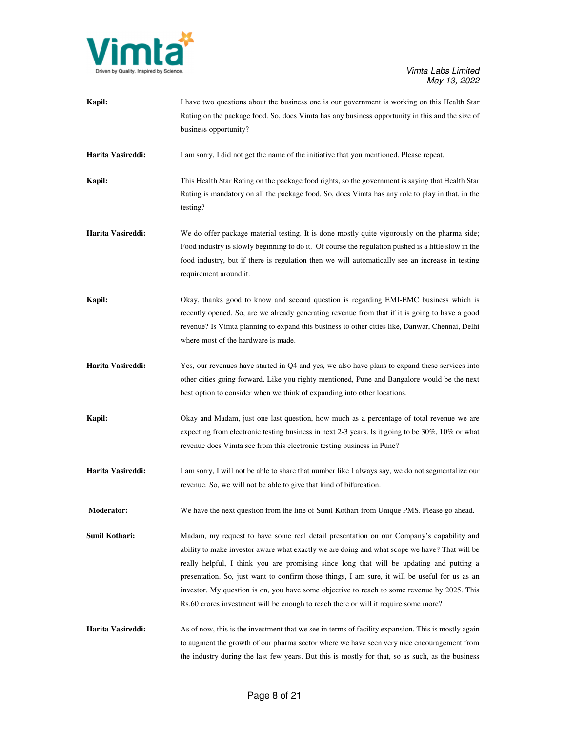

| Kapil:            | I have two questions about the business one is our government is working on this Health Star<br>Rating on the package food. So, does Vimta has any business opportunity in this and the size of<br>business opportunity?                                                                                                                                                                                                                                                                                                                                                     |
|-------------------|------------------------------------------------------------------------------------------------------------------------------------------------------------------------------------------------------------------------------------------------------------------------------------------------------------------------------------------------------------------------------------------------------------------------------------------------------------------------------------------------------------------------------------------------------------------------------|
| Harita Vasireddi: | I am sorry, I did not get the name of the initiative that you mentioned. Please repeat.                                                                                                                                                                                                                                                                                                                                                                                                                                                                                      |
| Kapil:            | This Health Star Rating on the package food rights, so the government is saying that Health Star<br>Rating is mandatory on all the package food. So, does Vimta has any role to play in that, in the<br>testing?                                                                                                                                                                                                                                                                                                                                                             |
| Harita Vasireddi: | We do offer package material testing. It is done mostly quite vigorously on the pharma side;<br>Food industry is slowly beginning to do it. Of course the regulation pushed is a little slow in the<br>food industry, but if there is regulation then we will automatically see an increase in testing<br>requirement around it.                                                                                                                                                                                                                                             |
| Kapil:            | Okay, thanks good to know and second question is regarding EMI-EMC business which is<br>recently opened. So, are we already generating revenue from that if it is going to have a good<br>revenue? Is Vimta planning to expand this business to other cities like, Danwar, Chennai, Delhi<br>where most of the hardware is made.                                                                                                                                                                                                                                             |
| Harita Vasireddi: | Yes, our revenues have started in Q4 and yes, we also have plans to expand these services into<br>other cities going forward. Like you righty mentioned, Pune and Bangalore would be the next<br>best option to consider when we think of expanding into other locations.                                                                                                                                                                                                                                                                                                    |
| Kapil:            | Okay and Madam, just one last question, how much as a percentage of total revenue we are<br>expecting from electronic testing business in next 2-3 years. Is it going to be $30\%$ , $10\%$ or what<br>revenue does Vimta see from this electronic testing business in Pune?                                                                                                                                                                                                                                                                                                 |
| Harita Vasireddi: | I am sorry, I will not be able to share that number like I always say, we do not segmentalize our<br>revenue. So, we will not be able to give that kind of bifurcation.                                                                                                                                                                                                                                                                                                                                                                                                      |
| <b>Moderator:</b> | We have the next question from the line of Sunil Kothari from Unique PMS. Please go ahead.                                                                                                                                                                                                                                                                                                                                                                                                                                                                                   |
| Sunil Kothari:    | Madam, my request to have some real detail presentation on our Company's capability and<br>ability to make investor aware what exactly we are doing and what scope we have? That will be<br>really helpful, I think you are promising since long that will be updating and putting a<br>presentation. So, just want to confirm those things, I am sure, it will be useful for us as an<br>investor. My question is on, you have some objective to reach to some revenue by 2025. This<br>Rs.60 crores investment will be enough to reach there or will it require some more? |
| Harita Vasireddi: | As of now, this is the investment that we see in terms of facility expansion. This is mostly again<br>to augment the growth of our pharma sector where we have seen very nice encouragement from<br>the industry during the last few years. But this is mostly for that, so as such, as the business                                                                                                                                                                                                                                                                         |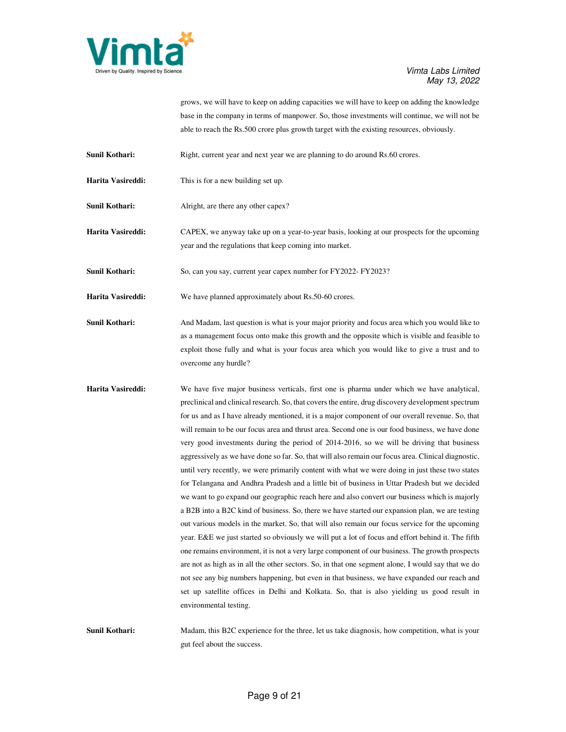

grows, we will have to keep on adding capacities we will have to keep on adding the knowledge base in the company in terms of manpower. So, those investments will continue, we will not be able to reach the Rs.500 crore plus growth target with the existing resources, obviously.

**Sunil Kothari: Right, current year and next year we are planning to do around Rs.60 crores.** 

- **Harita Vasireddi:** This is for a new building set up.
- **Sunil Kothari:** Alright, are there any other capex?
- **Harita Vasireddi:** CAPEX, we anyway take up on a year-to-year basis, looking at our prospects for the upcoming year and the regulations that keep coming into market.

**Sunil Kothari:** So, can you say, current year capex number for FY2022- FY2023?

Harita Vasireddi: We have planned approximately about Rs.50-60 crores.

- **Sunil Kothari:** And Madam, last question is what is your major priority and focus area which you would like to as a management focus onto make this growth and the opposite which is visible and feasible to exploit those fully and what is your focus area which you would like to give a trust and to overcome any hurdle?
- **Harita Vasireddi:** We have five major business verticals, first one is pharma under which we have analytical, preclinical and clinical research. So, that covers the entire, drug discovery development spectrum for us and as I have already mentioned, it is a major component of our overall revenue. So, that will remain to be our focus area and thrust area. Second one is our food business, we have done very good investments during the period of 2014-2016, so we will be driving that business aggressively as we have done so far. So, that will also remain our focus area. Clinical diagnostic, until very recently, we were primarily content with what we were doing in just these two states for Telangana and Andhra Pradesh and a little bit of business in Uttar Pradesh but we decided we want to go expand our geographic reach here and also convert our business which is majorly a B2B into a B2C kind of business. So, there we have started our expansion plan, we are testing out various models in the market. So, that will also remain our focus service for the upcoming year. E&E we just started so obviously we will put a lot of focus and effort behind it. The fifth one remains environment, it is not a very large component of our business. The growth prospects are not as high as in all the other sectors. So, in that one segment alone, I would say that we do not see any big numbers happening, but even in that business, we have expanded our reach and set up satellite offices in Delhi and Kolkata. So, that is also yielding us good result in environmental testing.

**Sunil Kothari:** Madam, this B2C experience for the three, let us take diagnosis, how competition, what is your gut feel about the success.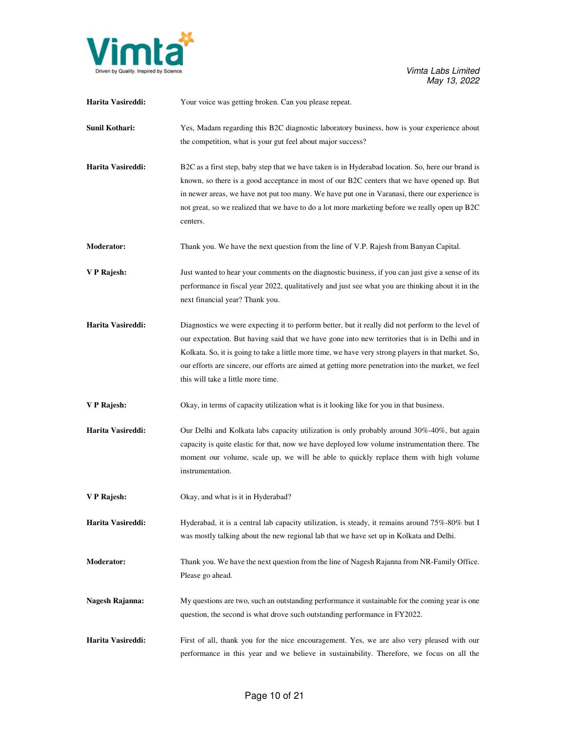

| Harita Vasireddi: | Your voice was getting broken. Can you please repeat.                                                                                                                                                                                                                                                                                                                                                                                                     |
|-------------------|-----------------------------------------------------------------------------------------------------------------------------------------------------------------------------------------------------------------------------------------------------------------------------------------------------------------------------------------------------------------------------------------------------------------------------------------------------------|
| Sunil Kothari:    | Yes, Madam regarding this B2C diagnostic laboratory business, how is your experience about<br>the competition, what is your gut feel about major success?                                                                                                                                                                                                                                                                                                 |
| Harita Vasireddi: | B2C as a first step, baby step that we have taken is in Hyderabad location. So, here our brand is<br>known, so there is a good acceptance in most of our B2C centers that we have opened up. But<br>in newer areas, we have not put too many. We have put one in Varanasi, there our experience is<br>not great, so we realized that we have to do a lot more marketing before we really open up B2C<br>centers.                                          |
| Moderator:        | Thank you. We have the next question from the line of V.P. Rajesh from Banyan Capital.                                                                                                                                                                                                                                                                                                                                                                    |
| V P Rajesh:       | Just wanted to hear your comments on the diagnostic business, if you can just give a sense of its<br>performance in fiscal year 2022, qualitatively and just see what you are thinking about it in the<br>next financial year? Thank you.                                                                                                                                                                                                                 |
| Harita Vasireddi: | Diagnostics we were expecting it to perform better, but it really did not perform to the level of<br>our expectation. But having said that we have gone into new territories that is in Delhi and in<br>Kolkata. So, it is going to take a little more time, we have very strong players in that market. So,<br>our efforts are sincere, our efforts are aimed at getting more penetration into the market, we feel<br>this will take a little more time. |
| V P Rajesh:       | Okay, in terms of capacity utilization what is it looking like for you in that business.                                                                                                                                                                                                                                                                                                                                                                  |
| Harita Vasireddi: | Our Delhi and Kolkata labs capacity utilization is only probably around 30%-40%, but again<br>capacity is quite elastic for that, now we have deployed low volume instrumentation there. The<br>moment our volume, scale up, we will be able to quickly replace them with high volume<br>instrumentation.                                                                                                                                                 |
| V P Rajesh:       | Okay, and what is it in Hyderabad?                                                                                                                                                                                                                                                                                                                                                                                                                        |
| Harita Vasireddi: | Hyderabad, it is a central lab capacity utilization, is steady, it remains around 75%-80% but I<br>was mostly talking about the new regional lab that we have set up in Kolkata and Delhi.                                                                                                                                                                                                                                                                |
| <b>Moderator:</b> | Thank you. We have the next question from the line of Nagesh Rajanna from NR-Family Office.<br>Please go ahead.                                                                                                                                                                                                                                                                                                                                           |
| Nagesh Rajanna:   | My questions are two, such an outstanding performance it sustainable for the coming year is one<br>question, the second is what drove such outstanding performance in FY2022.                                                                                                                                                                                                                                                                             |
| Harita Vasireddi: | First of all, thank you for the nice encouragement. Yes, we are also very pleased with our<br>performance in this year and we believe in sustainability. Therefore, we focus on all the                                                                                                                                                                                                                                                                   |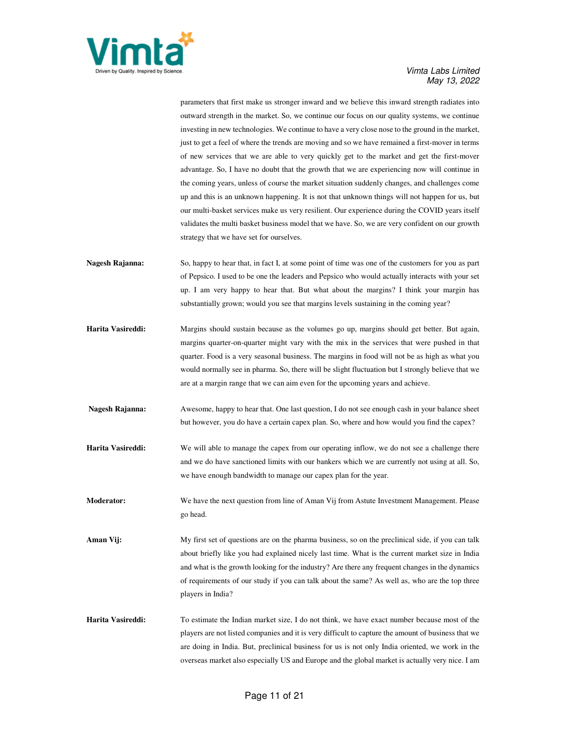

parameters that first make us stronger inward and we believe this inward strength radiates into outward strength in the market. So, we continue our focus on our quality systems, we continue investing in new technologies. We continue to have a very close nose to the ground in the market, just to get a feel of where the trends are moving and so we have remained a first-mover in terms of new services that we are able to very quickly get to the market and get the first-mover advantage. So, I have no doubt that the growth that we are experiencing now will continue in the coming years, unless of course the market situation suddenly changes, and challenges come up and this is an unknown happening. It is not that unknown things will not happen for us, but our multi-basket services make us very resilient. Our experience during the COVID years itself validates the multi basket business model that we have. So, we are very confident on our growth strategy that we have set for ourselves.

- **Nagesh Rajanna:** So, happy to hear that, in fact I, at some point of time was one of the customers for you as part of Pepsico. I used to be one the leaders and Pepsico who would actually interacts with your set up. I am very happy to hear that. But what about the margins? I think your margin has substantially grown; would you see that margins levels sustaining in the coming year?
- **Harita Vasireddi:** Margins should sustain because as the volumes go up, margins should get better. But again, margins quarter-on-quarter might vary with the mix in the services that were pushed in that quarter. Food is a very seasonal business. The margins in food will not be as high as what you would normally see in pharma. So, there will be slight fluctuation but I strongly believe that we are at a margin range that we can aim even for the upcoming years and achieve.
- **Nagesh Rajanna:** Awesome, happy to hear that. One last question, I do not see enough cash in your balance sheet but however, you do have a certain capex plan. So, where and how would you find the capex?
- **Harita Vasireddi:** We will able to manage the capex from our operating inflow, we do not see a challenge there and we do have sanctioned limits with our bankers which we are currently not using at all. So, we have enough bandwidth to manage our capex plan for the year.
- **Moderator:** We have the next question from line of Aman Vij from Astute Investment Management. Please go head.
- **Aman Vij:** My first set of questions are on the pharma business, so on the preclinical side, if you can talk about briefly like you had explained nicely last time. What is the current market size in India and what is the growth looking for the industry? Are there any frequent changes in the dynamics of requirements of our study if you can talk about the same? As well as, who are the top three players in India?
- **Harita Vasireddi:** To estimate the Indian market size, I do not think, we have exact number because most of the players are not listed companies and it is very difficult to capture the amount of business that we are doing in India. But, preclinical business for us is not only India oriented, we work in the overseas market also especially US and Europe and the global market is actually very nice. I am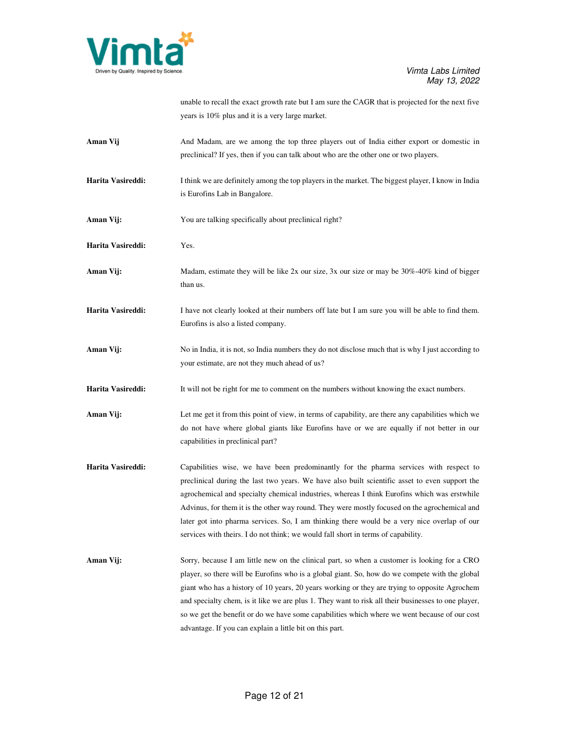

unable to recall the exact growth rate but I am sure the CAGR that is projected for the next five years is 10% plus and it is a very large market.

- Aman Vij And Madam, are we among the top three players out of India either export or domestic in preclinical? If yes, then if you can talk about who are the other one or two players.
- **Harita Vasireddi:** I think we are definitely among the top players in the market. The biggest player, I know in India is Eurofins Lab in Bangalore.
- Aman Vij: You are talking specifically about preclinical right?
- **Harita Vasireddi:** Yes.
- **Aman Vij:** Madam, estimate they will be like 2x our size, 3x our size or may be 30%-40% kind of bigger than us.
- **Harita Vasireddi:** I have not clearly looked at their numbers off late but I am sure you will be able to find them. Eurofins is also a listed company.
- Aman Vij: No in India, it is not, so India numbers they do not disclose much that is why I just according to your estimate, are not they much ahead of us?
- **Harita Vasireddi:** It will not be right for me to comment on the numbers without knowing the exact numbers.
- **Aman Vij:** Let me get it from this point of view, in terms of capability, are there any capabilities which we do not have where global giants like Eurofins have or we are equally if not better in our capabilities in preclinical part?
- **Harita Vasireddi:** Capabilities wise, we have been predominantly for the pharma services with respect to preclinical during the last two years. We have also built scientific asset to even support the agrochemical and specialty chemical industries, whereas I think Eurofins which was erstwhile Advinus, for them it is the other way round. They were mostly focused on the agrochemical and later got into pharma services. So, I am thinking there would be a very nice overlap of our services with theirs. I do not think; we would fall short in terms of capability.
- **Aman Vij:** Sorry, because I am little new on the clinical part, so when a customer is looking for a CRO player, so there will be Eurofins who is a global giant. So, how do we compete with the global giant who has a history of 10 years, 20 years working or they are trying to opposite Agrochem and specialty chem, is it like we are plus 1. They want to risk all their businesses to one player, so we get the benefit or do we have some capabilities which where we went because of our cost advantage. If you can explain a little bit on this part.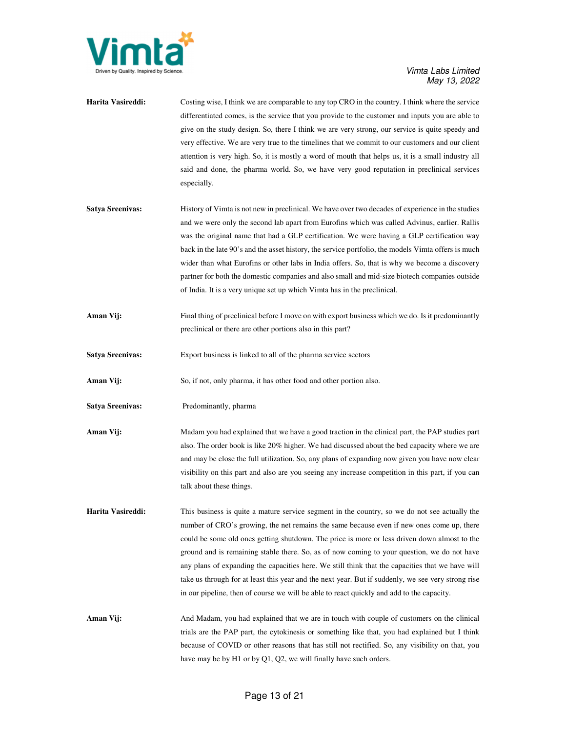

| Harita Vasireddi:       | Costing wise, I think we are comparable to any top CRO in the country. I think where the service<br>differentiated comes, is the service that you provide to the customer and inputs you are able to<br>give on the study design. So, there I think we are very strong, our service is quite speedy and<br>very effective. We are very true to the timelines that we commit to our customers and our client<br>attention is very high. So, it is mostly a word of mouth that helps us, it is a small industry all<br>said and done, the pharma world. So, we have very good reputation in preclinical services<br>especially.                                                                    |
|-------------------------|--------------------------------------------------------------------------------------------------------------------------------------------------------------------------------------------------------------------------------------------------------------------------------------------------------------------------------------------------------------------------------------------------------------------------------------------------------------------------------------------------------------------------------------------------------------------------------------------------------------------------------------------------------------------------------------------------|
| <b>Satya Sreenivas:</b> | History of Vimta is not new in preclinical. We have over two decades of experience in the studies<br>and we were only the second lab apart from Eurofins which was called Advinus, earlier. Rallis<br>was the original name that had a GLP certification. We were having a GLP certification way<br>back in the late 90's and the asset history, the service portfolio, the models Vimta offers is much<br>wider than what Eurofins or other labs in India offers. So, that is why we become a discovery<br>partner for both the domestic companies and also small and mid-size biotech companies outside<br>of India. It is a very unique set up which Vimta has in the preclinical.            |
| Aman Vij:               | Final thing of preclinical before I move on with export business which we do. Is it predominantly<br>preclinical or there are other portions also in this part?                                                                                                                                                                                                                                                                                                                                                                                                                                                                                                                                  |
| <b>Satya Sreenivas:</b> | Export business is linked to all of the pharma service sectors                                                                                                                                                                                                                                                                                                                                                                                                                                                                                                                                                                                                                                   |
| Aman Vij:               | So, if not, only pharma, it has other food and other portion also.                                                                                                                                                                                                                                                                                                                                                                                                                                                                                                                                                                                                                               |
| <b>Satya Sreenivas:</b> | Predominantly, pharma                                                                                                                                                                                                                                                                                                                                                                                                                                                                                                                                                                                                                                                                            |
| Aman Vij:               | Madam you had explained that we have a good traction in the clinical part, the PAP studies part<br>also. The order book is like 20% higher. We had discussed about the bed capacity where we are<br>and may be close the full utilization. So, any plans of expanding now given you have now clear<br>visibility on this part and also are you seeing any increase competition in this part, if you can<br>talk about these things.                                                                                                                                                                                                                                                              |
| Harita Vasireddi:       | This business is quite a mature service segment in the country, so we do not see actually the<br>number of CRO's growing, the net remains the same because even if new ones come up, there<br>could be some old ones getting shutdown. The price is more or less driven down almost to the<br>ground and is remaining stable there. So, as of now coming to your question, we do not have<br>any plans of expanding the capacities here. We still think that the capacities that we have will<br>take us through for at least this year and the next year. But if suddenly, we see very strong rise<br>in our pipeline, then of course we will be able to react quickly and add to the capacity. |
| Aman Vij:               | And Madam, you had explained that we are in touch with couple of customers on the clinical<br>trials are the PAP part, the cytokinesis or something like that, you had explained but I think<br>because of COVID or other reasons that has still not rectified. So, any visibility on that, you<br>have may be by $H1$ or by $Q1$ , $Q2$ , we will finally have such orders.                                                                                                                                                                                                                                                                                                                     |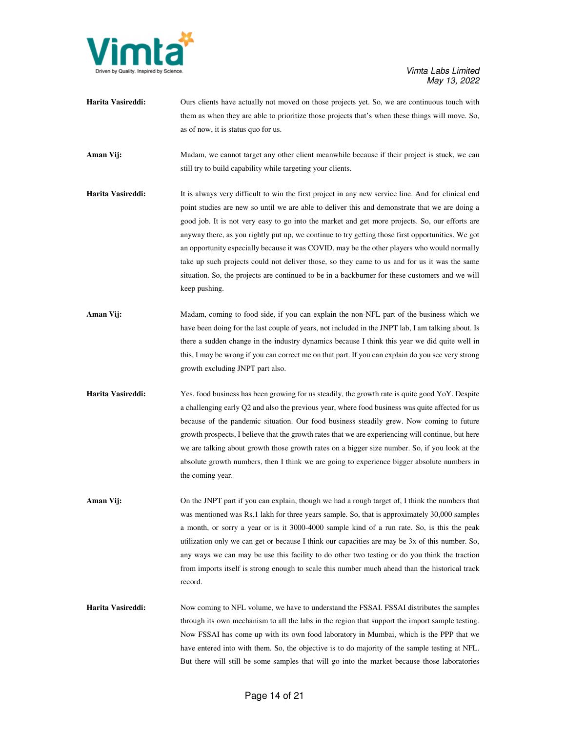

- Harita Vasireddi: Ours clients have actually not moved on those projects yet. So, we are continuous touch with them as when they are able to prioritize those projects that's when these things will move. So, as of now, it is status quo for us.
- **Aman Vij:** Madam, we cannot target any other client meanwhile because if their project is stuck, we can still try to build capability while targeting your clients.
- **Harita Vasireddi:** It is always very difficult to win the first project in any new service line. And for clinical end point studies are new so until we are able to deliver this and demonstrate that we are doing a good job. It is not very easy to go into the market and get more projects. So, our efforts are anyway there, as you rightly put up, we continue to try getting those first opportunities. We got an opportunity especially because it was COVID, may be the other players who would normally take up such projects could not deliver those, so they came to us and for us it was the same situation. So, the projects are continued to be in a backburner for these customers and we will keep pushing.
- **Aman Vij:** Madam, coming to food side, if you can explain the non-NFL part of the business which we have been doing for the last couple of years, not included in the JNPT lab, I am talking about. Is there a sudden change in the industry dynamics because I think this year we did quite well in this, I may be wrong if you can correct me on that part. If you can explain do you see very strong growth excluding JNPT part also.
- **Harita Vasireddi:** Yes, food business has been growing for us steadily, the growth rate is quite good YoY. Despite a challenging early Q2 and also the previous year, where food business was quite affected for us because of the pandemic situation. Our food business steadily grew. Now coming to future growth prospects, I believe that the growth rates that we are experiencing will continue, but here we are talking about growth those growth rates on a bigger size number. So, if you look at the absolute growth numbers, then I think we are going to experience bigger absolute numbers in the coming year.
- **Aman Vij:** On the JNPT part if you can explain, though we had a rough target of, I think the numbers that was mentioned was Rs.1 lakh for three years sample. So, that is approximately 30,000 samples a month, or sorry a year or is it 3000-4000 sample kind of a run rate. So, is this the peak utilization only we can get or because I think our capacities are may be 3x of this number. So, any ways we can may be use this facility to do other two testing or do you think the traction from imports itself is strong enough to scale this number much ahead than the historical track record.
- **Harita Vasireddi:** Now coming to NFL volume, we have to understand the FSSAI. FSSAI distributes the samples through its own mechanism to all the labs in the region that support the import sample testing. Now FSSAI has come up with its own food laboratory in Mumbai, which is the PPP that we have entered into with them. So, the objective is to do majority of the sample testing at NFL. But there will still be some samples that will go into the market because those laboratories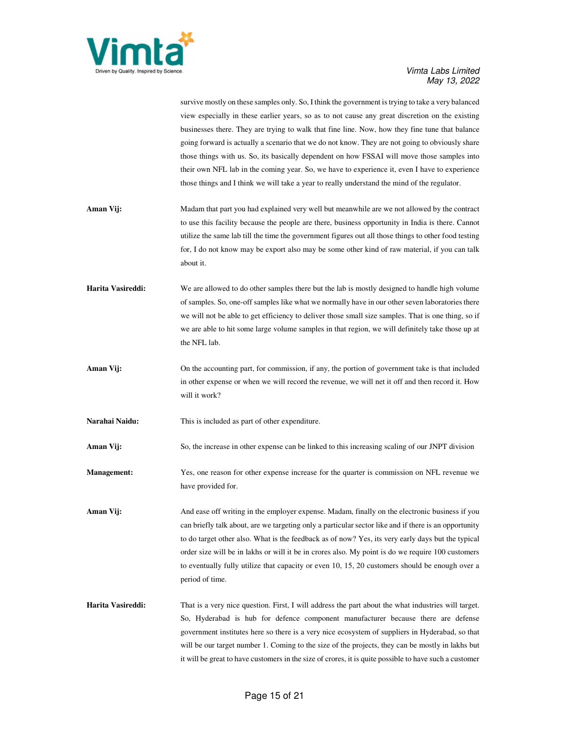

survive mostly on these samples only. So, I think the government is trying to take a very balanced view especially in these earlier years, so as to not cause any great discretion on the existing businesses there. They are trying to walk that fine line. Now, how they fine tune that balance going forward is actually a scenario that we do not know. They are not going to obviously share those things with us. So, its basically dependent on how FSSAI will move those samples into their own NFL lab in the coming year. So, we have to experience it, even I have to experience those things and I think we will take a year to really understand the mind of the regulator.

- **Aman Vij:** Madam that part you had explained very well but meanwhile are we not allowed by the contract to use this facility because the people are there, business opportunity in India is there. Cannot utilize the same lab till the time the government figures out all those things to other food testing for, I do not know may be export also may be some other kind of raw material, if you can talk about it.
- **Harita Vasireddi:** We are allowed to do other samples there but the lab is mostly designed to handle high volume of samples. So, one-off samples like what we normally have in our other seven laboratories there we will not be able to get efficiency to deliver those small size samples. That is one thing, so if we are able to hit some large volume samples in that region, we will definitely take those up at the NFL lab.
- **Aman Vij:** On the accounting part, for commission, if any, the portion of government take is that included in other expense or when we will record the revenue, we will net it off and then record it. How will it work?
- **Narahai Naidu:** This is included as part of other expenditure.

**Aman Vij:** So, the increase in other expense can be linked to this increasing scaling of our JNPT division

**Management:** Yes, one reason for other expense increase for the quarter is commission on NFL revenue we have provided for.

Aman Vij: And ease off writing in the employer expense. Madam, finally on the electronic business if you can briefly talk about, are we targeting only a particular sector like and if there is an opportunity to do target other also. What is the feedback as of now? Yes, its very early days but the typical order size will be in lakhs or will it be in crores also. My point is do we require 100 customers to eventually fully utilize that capacity or even 10, 15, 20 customers should be enough over a period of time.

**Harita Vasireddi:** That is a very nice question. First, I will address the part about the what industries will target. So, Hyderabad is hub for defence component manufacturer because there are defense government institutes here so there is a very nice ecosystem of suppliers in Hyderabad, so that will be our target number 1. Coming to the size of the projects, they can be mostly in lakhs but it will be great to have customers in the size of crores, it is quite possible to have such a customer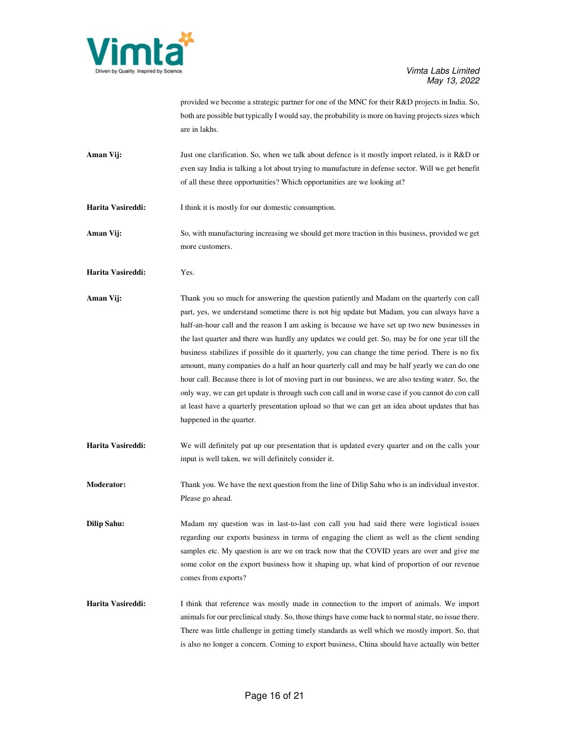

provided we become a strategic partner for one of the MNC for their R&D projects in India. So, both are possible but typically I would say, the probability is more on having projects sizes which are in lakhs.

- Aman Vij: Just one clarification. So, when we talk about defence is it mostly import related, is it R&D or even say India is talking a lot about trying to manufacture in defense sector. Will we get benefit of all these three opportunities? Which opportunities are we looking at?
- **Harita Vasireddi:** I think it is mostly for our domestic consumption.
- Aman Vij: So, with manufacturing increasing we should get more traction in this business, provided we get more customers.
- **Harita Vasireddi:** Yes.
- **Aman Vij:** Thank you so much for answering the question patiently and Madam on the quarterly con call part, yes, we understand sometime there is not big update but Madam, you can always have a half-an-hour call and the reason I am asking is because we have set up two new businesses in the last quarter and there was hardly any updates we could get. So, may be for one year till the business stabilizes if possible do it quarterly, you can change the time period. There is no fix amount, many companies do a half an hour quarterly call and may be half yearly we can do one hour call. Because there is lot of moving part in our business, we are also testing water. So, the only way, we can get update is through such con call and in worse case if you cannot do con call at least have a quarterly presentation upload so that we can get an idea about updates that has happened in the quarter.
- **Harita Vasireddi:** We will definitely put up our presentation that is updated every quarter and on the calls your input is well taken, we will definitely consider it.
- **Moderator:** Thank you. We have the next question from the line of Dilip Sahu who is an individual investor. Please go ahead.
- **Dilip Sahu:** Madam my question was in last-to-last con call you had said there were logistical issues regarding our exports business in terms of engaging the client as well as the client sending samples etc. My question is are we on track now that the COVID years are over and give me some color on the export business how it shaping up, what kind of proportion of our revenue comes from exports?
- **Harita Vasireddi:** I think that reference was mostly made in connection to the import of animals. We import animals for our preclinical study. So, those things have come back to normal state, no issue there. There was little challenge in getting timely standards as well which we mostly import. So, that is also no longer a concern. Coming to export business, China should have actually win better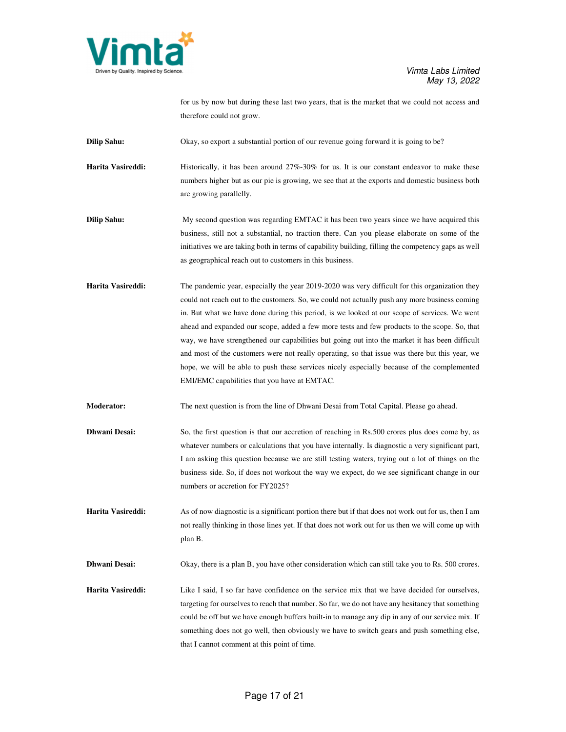

for us by now but during these last two years, that is the market that we could not access and therefore could not grow.

**Dilip Sahu:** Okay, so export a substantial portion of our revenue going forward it is going to be?

**Harita Vasireddi:** Historically, it has been around 27%-30% for us. It is our constant endeavor to make these numbers higher but as our pie is growing, we see that at the exports and domestic business both are growing parallelly.

**Dilip Sahu:** My second question was regarding EMTAC it has been two years since we have acquired this business, still not a substantial, no traction there. Can you please elaborate on some of the initiatives we are taking both in terms of capability building, filling the competency gaps as well as geographical reach out to customers in this business.

**Harita Vasireddi:** The pandemic year, especially the year 2019-2020 was very difficult for this organization they could not reach out to the customers. So, we could not actually push any more business coming in. But what we have done during this period, is we looked at our scope of services. We went ahead and expanded our scope, added a few more tests and few products to the scope. So, that way, we have strengthened our capabilities but going out into the market it has been difficult and most of the customers were not really operating, so that issue was there but this year, we hope, we will be able to push these services nicely especially because of the complemented EMI/EMC capabilities that you have at EMTAC.

**Moderator:** The next question is from the line of Dhwani Desai from Total Capital. Please go ahead.

**Dhwani Desai:** So, the first question is that our accretion of reaching in Rs.500 crores plus does come by, as whatever numbers or calculations that you have internally. Is diagnostic a very significant part, I am asking this question because we are still testing waters, trying out a lot of things on the business side. So, if does not workout the way we expect, do we see significant change in our numbers or accretion for FY2025?

**Harita Vasireddi:** As of now diagnostic is a significant portion there but if that does not work out for us, then I am not really thinking in those lines yet. If that does not work out for us then we will come up with plan B.

**Dhwani Desai:** Okay, there is a plan B, you have other consideration which can still take you to Rs. 500 crores.

**Harita Vasireddi:** Like I said, I so far have confidence on the service mix that we have decided for ourselves, targeting for ourselves to reach that number. So far, we do not have any hesitancy that something could be off but we have enough buffers built-in to manage any dip in any of our service mix. If something does not go well, then obviously we have to switch gears and push something else, that I cannot comment at this point of time.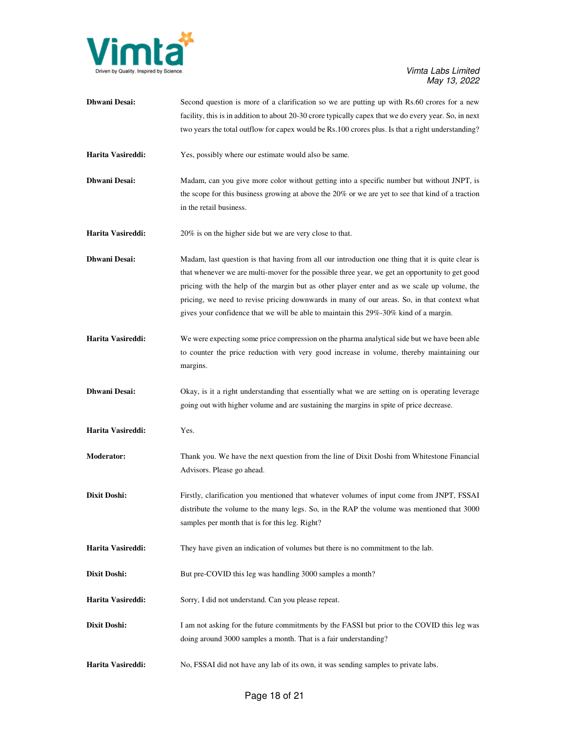

| <b>Dhwani Desai:</b> | Second question is more of a clarification so we are putting up with Rs.60 crores for a new<br>facility, this is in addition to about 20-30 crore typically capex that we do every year. So, in next<br>two years the total outflow for capex would be Rs.100 crores plus. Is that a right understanding?                                                                                                                                                                                    |
|----------------------|----------------------------------------------------------------------------------------------------------------------------------------------------------------------------------------------------------------------------------------------------------------------------------------------------------------------------------------------------------------------------------------------------------------------------------------------------------------------------------------------|
| Harita Vasireddi:    | Yes, possibly where our estimate would also be same.                                                                                                                                                                                                                                                                                                                                                                                                                                         |
| <b>Dhwani Desai:</b> | Madam, can you give more color without getting into a specific number but without JNPT, is<br>the scope for this business growing at above the 20% or we are yet to see that kind of a traction<br>in the retail business.                                                                                                                                                                                                                                                                   |
| Harita Vasireddi:    | 20% is on the higher side but we are very close to that.                                                                                                                                                                                                                                                                                                                                                                                                                                     |
| <b>Dhwani Desai:</b> | Madam, last question is that having from all our introduction one thing that it is quite clear is<br>that whenever we are multi-mover for the possible three year, we get an opportunity to get good<br>pricing with the help of the margin but as other player enter and as we scale up volume, the<br>pricing, we need to revise pricing downwards in many of our areas. So, in that context what<br>gives your confidence that we will be able to maintain this 29%-30% kind of a margin. |
| Harita Vasireddi:    | We were expecting some price compression on the pharma analytical side but we have been able<br>to counter the price reduction with very good increase in volume, thereby maintaining our<br>margins.                                                                                                                                                                                                                                                                                        |
| <b>Dhwani Desai:</b> | Okay, is it a right understanding that essentially what we are setting on is operating leverage<br>going out with higher volume and are sustaining the margins in spite of price decrease.                                                                                                                                                                                                                                                                                                   |
| Harita Vasireddi:    | Yes.                                                                                                                                                                                                                                                                                                                                                                                                                                                                                         |
| <b>Moderator:</b>    | Thank you. We have the next question from the line of Dixit Doshi from Whitestone Financial<br>Advisors. Please go ahead.                                                                                                                                                                                                                                                                                                                                                                    |
| Dixit Doshi:         | Firstly, clarification you mentioned that whatever volumes of input come from JNPT, FSSAI<br>distribute the volume to the many legs. So, in the RAP the volume was mentioned that 3000<br>samples per month that is for this leg. Right?                                                                                                                                                                                                                                                     |
| Harita Vasireddi:    | They have given an indication of volumes but there is no commitment to the lab.                                                                                                                                                                                                                                                                                                                                                                                                              |
| Dixit Doshi:         | But pre-COVID this leg was handling 3000 samples a month?                                                                                                                                                                                                                                                                                                                                                                                                                                    |
| Harita Vasireddi:    | Sorry, I did not understand. Can you please repeat.                                                                                                                                                                                                                                                                                                                                                                                                                                          |
| Dixit Doshi:         | I am not asking for the future commitments by the FASSI but prior to the COVID this leg was<br>doing around 3000 samples a month. That is a fair understanding?                                                                                                                                                                                                                                                                                                                              |
| Harita Vasireddi:    | No, FSSAI did not have any lab of its own, it was sending samples to private labs.                                                                                                                                                                                                                                                                                                                                                                                                           |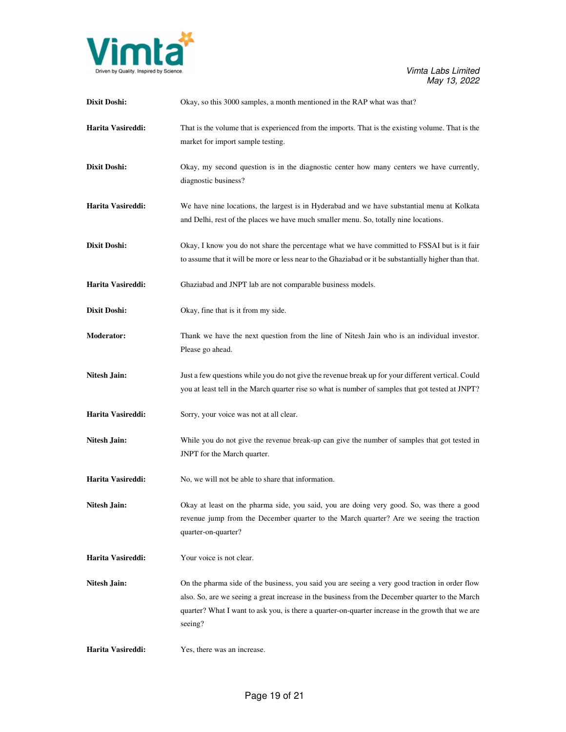

| Dixit Doshi:        | Okay, so this 3000 samples, a month mentioned in the RAP what was that?                                                                                                                                                                                                                                           |
|---------------------|-------------------------------------------------------------------------------------------------------------------------------------------------------------------------------------------------------------------------------------------------------------------------------------------------------------------|
| Harita Vasireddi:   | That is the volume that is experienced from the imports. That is the existing volume. That is the<br>market for import sample testing.                                                                                                                                                                            |
| Dixit Doshi:        | Okay, my second question is in the diagnostic center how many centers we have currently,<br>diagnostic business?                                                                                                                                                                                                  |
| Harita Vasireddi:   | We have nine locations, the largest is in Hyderabad and we have substantial menu at Kolkata<br>and Delhi, rest of the places we have much smaller menu. So, totally nine locations.                                                                                                                               |
| Dixit Doshi:        | Okay, I know you do not share the percentage what we have committed to FSSAI but is it fair<br>to assume that it will be more or less near to the Ghaziabad or it be substantially higher than that.                                                                                                              |
| Harita Vasireddi:   | Ghaziabad and JNPT lab are not comparable business models.                                                                                                                                                                                                                                                        |
| Dixit Doshi:        | Okay, fine that is it from my side.                                                                                                                                                                                                                                                                               |
| <b>Moderator:</b>   | Thank we have the next question from the line of Nitesh Jain who is an individual investor.<br>Please go ahead.                                                                                                                                                                                                   |
| <b>Nitesh Jain:</b> | Just a few questions while you do not give the revenue break up for your different vertical. Could<br>you at least tell in the March quarter rise so what is number of samples that got tested at JNPT?                                                                                                           |
| Harita Vasireddi:   | Sorry, your voice was not at all clear.                                                                                                                                                                                                                                                                           |
| <b>Nitesh Jain:</b> | While you do not give the revenue break-up can give the number of samples that got tested in<br>JNPT for the March quarter.                                                                                                                                                                                       |
| Harita Vasireddi:   | No, we will not be able to share that information.                                                                                                                                                                                                                                                                |
| <b>Nitesh Jain:</b> | Okay at least on the pharma side, you said, you are doing very good. So, was there a good<br>revenue jump from the December quarter to the March quarter? Are we seeing the traction<br>quarter-on-quarter?                                                                                                       |
| Harita Vasireddi:   | Your voice is not clear.                                                                                                                                                                                                                                                                                          |
| <b>Nitesh Jain:</b> | On the pharma side of the business, you said you are seeing a very good traction in order flow<br>also. So, are we seeing a great increase in the business from the December quarter to the March<br>quarter? What I want to ask you, is there a quarter-on-quarter increase in the growth that we are<br>seeing? |
| Harita Vasireddi:   | Yes, there was an increase.                                                                                                                                                                                                                                                                                       |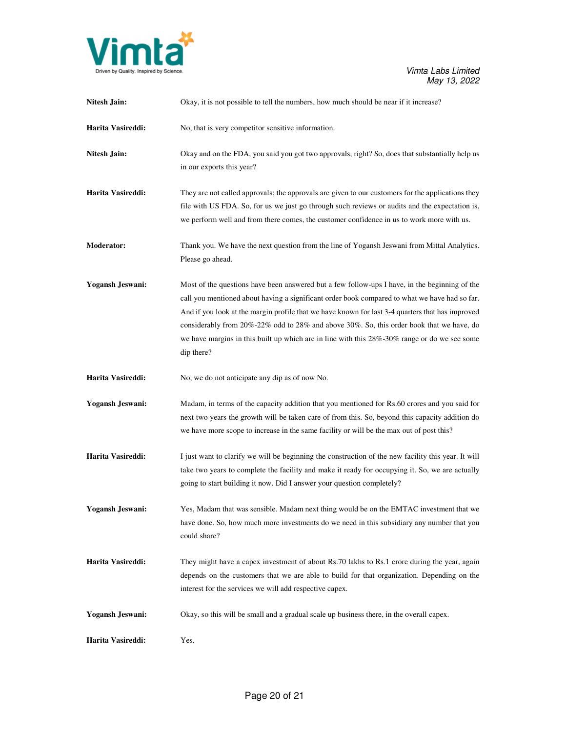

| Nitesh Jain:            | Okay, it is not possible to tell the numbers, how much should be near if it increase?                                                                                                                                                                                                                                                                                                                                                                                                                             |
|-------------------------|-------------------------------------------------------------------------------------------------------------------------------------------------------------------------------------------------------------------------------------------------------------------------------------------------------------------------------------------------------------------------------------------------------------------------------------------------------------------------------------------------------------------|
| Harita Vasireddi:       | No, that is very competitor sensitive information.                                                                                                                                                                                                                                                                                                                                                                                                                                                                |
| <b>Nitesh Jain:</b>     | Okay and on the FDA, you said you got two approvals, right? So, does that substantially help us<br>in our exports this year?                                                                                                                                                                                                                                                                                                                                                                                      |
| Harita Vasireddi:       | They are not called approvals; the approvals are given to our customers for the applications they<br>file with US FDA. So, for us we just go through such reviews or audits and the expectation is,<br>we perform well and from there comes, the customer confidence in us to work more with us.                                                                                                                                                                                                                  |
| <b>Moderator:</b>       | Thank you. We have the next question from the line of Yogansh Jeswani from Mittal Analytics.<br>Please go ahead.                                                                                                                                                                                                                                                                                                                                                                                                  |
| <b>Yogansh Jeswani:</b> | Most of the questions have been answered but a few follow-ups I have, in the beginning of the<br>call you mentioned about having a significant order book compared to what we have had so far.<br>And if you look at the margin profile that we have known for last 3-4 quarters that has improved<br>considerably from 20%-22% odd to 28% and above 30%. So, this order book that we have, do<br>we have margins in this built up which are in line with this $28\% -30\%$ range or do we see some<br>dip there? |
| Harita Vasireddi:       | No, we do not anticipate any dip as of now No.                                                                                                                                                                                                                                                                                                                                                                                                                                                                    |
| <b>Yogansh Jeswani:</b> | Madam, in terms of the capacity addition that you mentioned for Rs.60 crores and you said for<br>next two years the growth will be taken care of from this. So, beyond this capacity addition do<br>we have more scope to increase in the same facility or will be the max out of post this?                                                                                                                                                                                                                      |
| Harita Vasireddi:       | I just want to clarify we will be beginning the construction of the new facility this year. It will<br>take two years to complete the facility and make it ready for occupying it. So, we are actually<br>going to start building it now. Did I answer your question completely?                                                                                                                                                                                                                                  |
| Yogansh Jeswani:        | Yes, Madam that was sensible. Madam next thing would be on the EMTAC investment that we<br>have done. So, how much more investments do we need in this subsidiary any number that you<br>could share?                                                                                                                                                                                                                                                                                                             |
| Harita Vasireddi:       | They might have a capex investment of about Rs.70 lakhs to Rs.1 crore during the year, again<br>depends on the customers that we are able to build for that organization. Depending on the<br>interest for the services we will add respective capex.                                                                                                                                                                                                                                                             |
| Yogansh Jeswani:        | Okay, so this will be small and a gradual scale up business there, in the overall capex.                                                                                                                                                                                                                                                                                                                                                                                                                          |
| Harita Vasireddi:       | Yes.                                                                                                                                                                                                                                                                                                                                                                                                                                                                                                              |